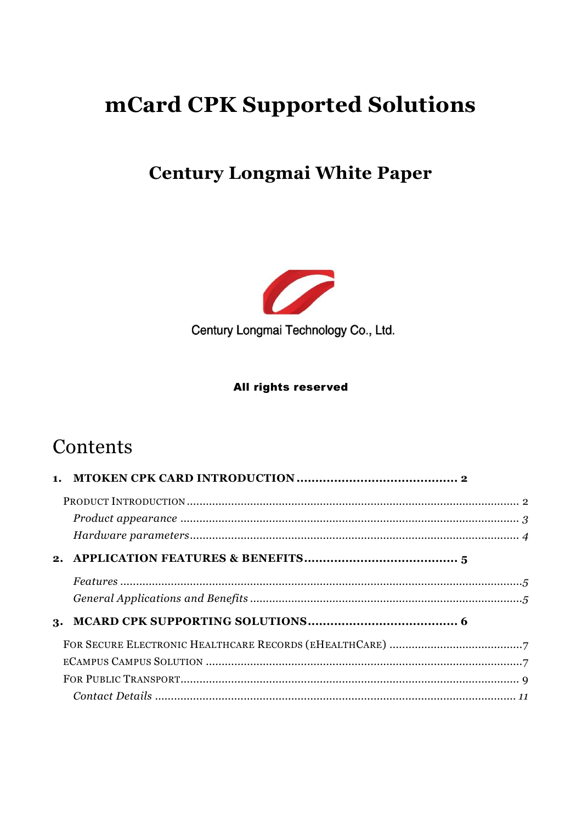# mCard CPK Supported Solutions

# **Century Longmai White Paper**



Century Longmai Technology Co., Ltd.

#### All rights reserved

# Contents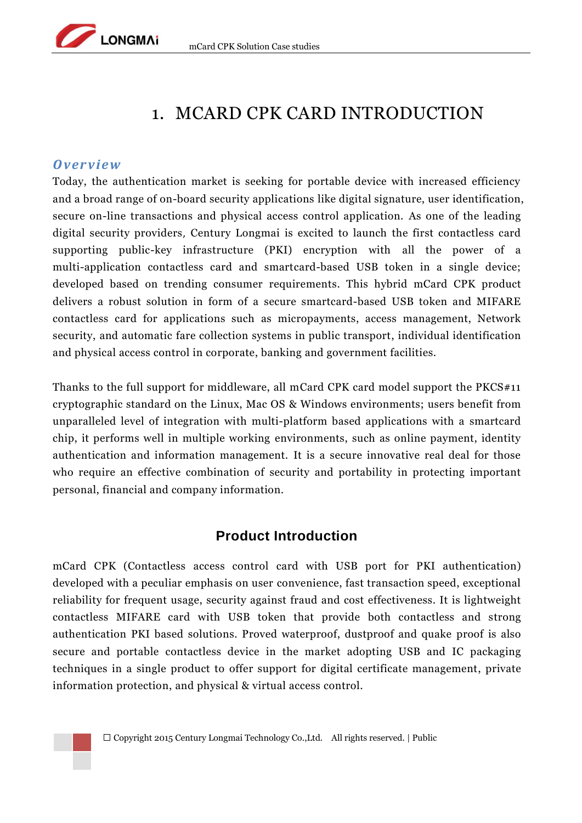

# <span id="page-1-0"></span>1. MCARD CPK CARD INTRODUCTION

### *O ver view*

Today, the authentication market is seeking for portable device with increased efficiency and a broad range of on-board security applications like digital signature, user identification, secure on-line transactions and physical access control application. As one of the leading digital security providers, Century Longmai is excited to launch the first contactless card supporting public-key infrastructure (PKI) encryption with all the power of a multi-application contactless card and smartcard-based USB token in a single device; developed based on trending consumer requirements. This hybrid mCard CPK product delivers a robust solution in form of a secure smartcard-based USB token and MIFARE contactless card for applications such as micropayments, access management, Network security, and automatic fare collection systems in public transport, individual identification and physical access control in corporate, banking and government facilities.

Thanks to the full support for middleware, all mCard CPK card model support the PKCS#11 cryptographic standard on the Linux, Mac OS & Windows environments; users benefit from unparalleled level of integration with multi-platform based applications with a smartcard chip, it performs well in multiple working environments, such as online payment, identity authentication and information management. It is a secure innovative real deal for those who require an effective combination of security and portability in protecting important personal, financial and company information.

## **Product Introduction**

<span id="page-1-1"></span>mCard CPK (Contactless access control card with USB port for PKI authentication) developed with a peculiar emphasis on user convenience, fast transaction speed, exceptional reliability for frequent usage, security against fraud and cost effectiveness. It is lightweight contactless MIFARE card with USB token that provide both contactless and strong authentication PKI based solutions. Proved waterproof, dustproof and quake proof is also secure and portable contactless device in the market adopting USB and IC packaging techniques in a single product to offer support for digital certificate management, private information protection, and physical & virtual access control.

 $\square$  Copyright 2015 Century Longmai Technology Co., Ltd. All rights reserved. | Public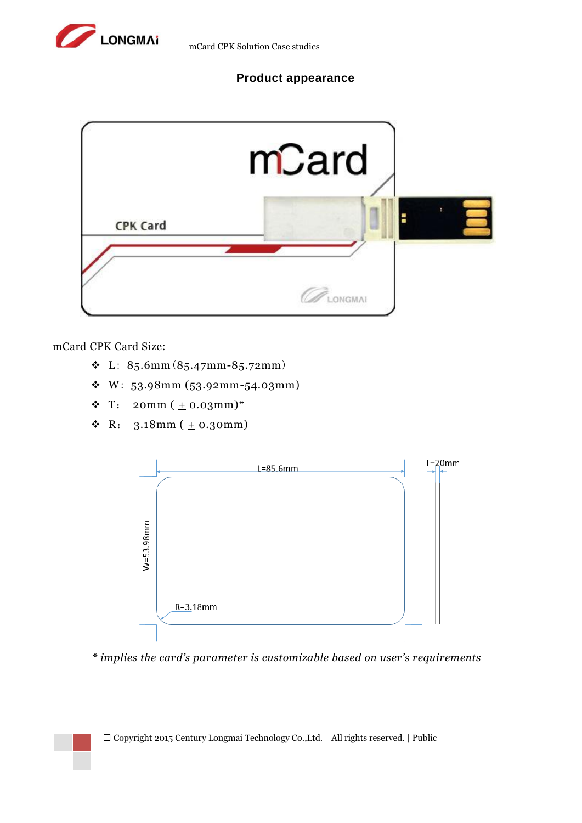

### **Product appearance**

<span id="page-2-0"></span>

mCard CPK Card Size:

- L: 85.6mm(85.47mm-85.72mm)
- W: 53.98mm (53.92mm-54.03mm)
- **↓** T: 20mm  $(\pm 0.03$ mm)\*
- **↓** R:  $3.18$ mm ( $\pm$  0.30mm)



*\* implies the card's parameter is customizable based on user's requirements*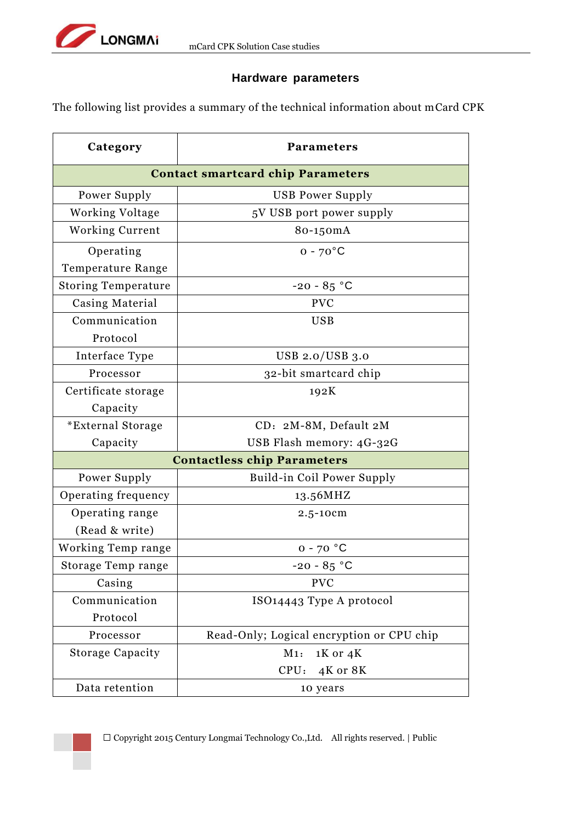

### **Hardware parameters**

<span id="page-3-0"></span>The following list provides a summary of the technical information about mCard CPK

| Category                                 | <b>Parameters</b>                         |  |  |
|------------------------------------------|-------------------------------------------|--|--|
| <b>Contact smartcard chip Parameters</b> |                                           |  |  |
| Power Supply                             | <b>USB Power Supply</b>                   |  |  |
| Working Voltage                          | 5V USB port power supply                  |  |  |
| <b>Working Current</b>                   | 80-150mA                                  |  |  |
| Operating                                | $0 - 70$ °C                               |  |  |
| Temperature Range                        |                                           |  |  |
| <b>Storing Temperature</b>               | $-20 - 85 °C$                             |  |  |
| Casing Material                          | <b>PVC</b>                                |  |  |
| Communication                            | <b>USB</b>                                |  |  |
| Protocol                                 |                                           |  |  |
| Interface Type                           | USB 2.0/USB 3.0                           |  |  |
| Processor                                | 32-bit smartcard chip                     |  |  |
| Certificate storage                      | 192K                                      |  |  |
| Capacity                                 |                                           |  |  |
| <i>*</i> External Storage                | CD: 2M-8M, Default 2M                     |  |  |
| Capacity                                 | USB Flash memory: 4G-32G                  |  |  |
| <b>Contactless chip Parameters</b>       |                                           |  |  |
| Power Supply                             | Build-in Coil Power Supply                |  |  |
| Operating frequency                      | 13.56MHZ                                  |  |  |
| Operating range                          | 2.5-10cm                                  |  |  |
| (Read & write)                           |                                           |  |  |
| Working Temp range                       | $0 - 70$ °C                               |  |  |
| Storage Temp range                       | $-20 - 85 °C$                             |  |  |
| Casing                                   | <b>PVC</b>                                |  |  |
| Communication                            | ISO14443 Type A protocol                  |  |  |
| Protocol                                 |                                           |  |  |
| Processor                                | Read-Only; Logical encryption or CPU chip |  |  |
| <b>Storage Capacity</b>                  | $1K$ or $4K$<br>M1:                       |  |  |
|                                          | CPU:<br>4K or 8K                          |  |  |
| Data retention                           | 10 years                                  |  |  |

 $\Box$  Copyright 2015 Century Longmai Technology Co.,Ltd. All rights reserved. | Public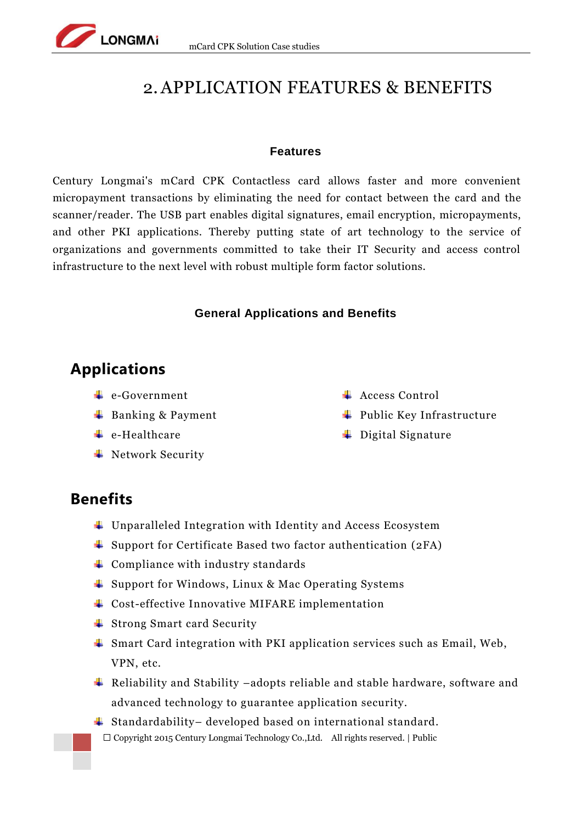# 2.APPLICATION FEATURES & BENEFITS

#### **Features**

<span id="page-4-1"></span>Century Longmai's mCard CPK Contactless card allows faster and more convenient micropayment transactions by eliminating the need for contact between the card and the scanner/reader. The USB part enables digital signatures, email encryption, micropayments, and other PKI applications. Thereby putting state of art technology to the service of organizations and governments committed to take their IT Security and access control infrastructure to the next level with robust multiple form factor solutions.

#### **General Applications and Benefits**

# <span id="page-4-2"></span>**Applications**

<span id="page-4-0"></span>LONGMAI

- **<sup>↓</sup>** e-Government
- $\overline{\text{Banking}}$  & Payment
- $\leftarrow$  e-Healthcare
- **↓** Network Security
- **← Access Control**
- $\ddot{\bullet}$  Public Key Infrastructure
- $\overline{\phantom{a}}$  Digital Signature

## **Benefits**

- $\ddot{\phantom{1}}$  Unparalleled Integration with Identity and Access Ecosystem
- Support for Certificate Based two factor authentication (2FA)
- $\overline{\phantom{a}}$  Compliance with industry standards
- Support for Windows, Linux & Mac Operating Systems
- Cost-effective Innovative MIFARE implementation
- **↓** Strong Smart card Security
- Smart Card integration with PKI application services such as Email, Web, VPN, etc.
- Reliability and Stability –adopts reliable and stable hardware, software and advanced technology to guarantee application security.
- $\square$  Copyright 2015 Century Longmai Technology Co., Ltd. All rights reserved. | Public  $\ddagger$  Standardability– developed based on international standard.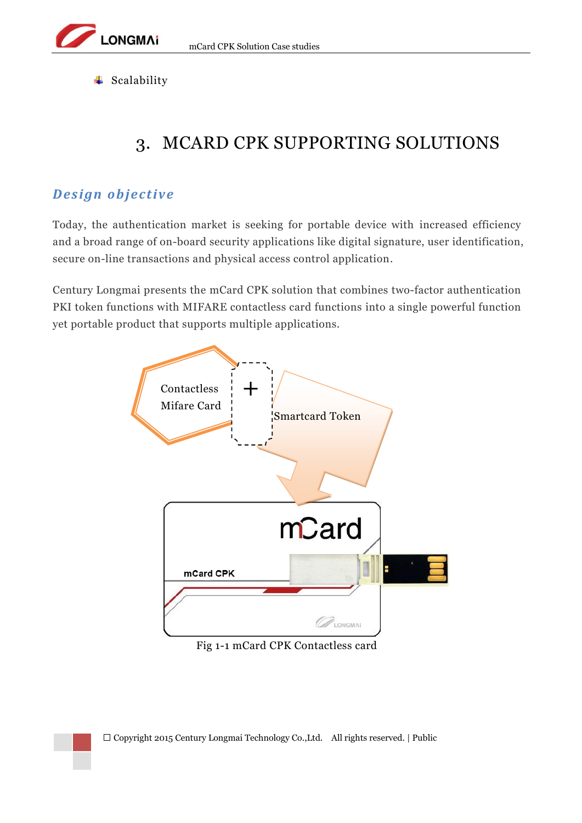$\overline{\phantom{a}}$  Scalability

**LONGMAi** 

# <span id="page-5-0"></span>3. MCARD CPK SUPPORTING SOLUTIONS

## *Design objective*

Today, the authentication market is seeking for portable device with increased efficiency and a broad range of on-board security applications like digital signature, user identification, secure on-line transactions and physical access control application.

Century Longmai presents the mCard CPK solution that combines two-factor authentication PKI token functions with MIFARE contactless card functions into a single powerful function yet portable product that supports multiple applications.



Fig 1-1 mCard CPK Contactless card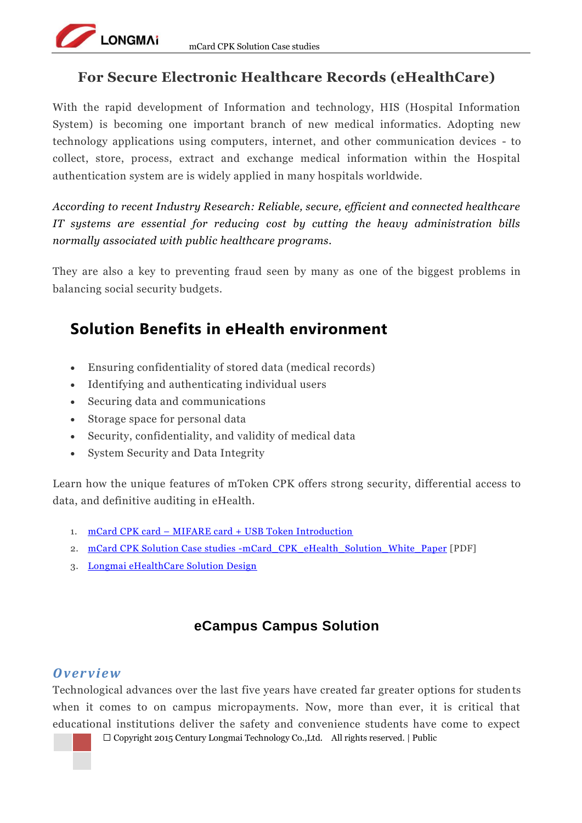## **For Secure Electronic Healthcare Records (eHealthCare)**

<span id="page-6-0"></span>With the rapid development of Information and technology, HIS (Hospital Information System) is becoming one important branch of new medical informatics. Adopting new technology applications using computers, internet, and other communication devices - to collect, store, process, extract and exchange medical information within the Hospital authentication system are is widely applied in many hospitals worldwide.

*According to recent Industry Research: Reliable, secure, efficient and connected healthcare IT systems are essential for reducing cost by cutting the heavy administration bills normally associated with public healthcare programs.*

They are also a key to preventing fraud seen by many as one of the biggest problems in balancing social security budgets.

# **Solution Benefits in eHealth environment**

- Ensuring confidentiality of stored data (medical records)
- Identifying and authenticating individual users
- Securing data and communications
- Storage space for personal data

LONGMAN

- Security, confidentiality, and validity of medical data
- System Security and Data Integrity

Learn how the unique features of mToken CPK offers strong security, differential access to data, and definitive auditing in eHealth.

- 1. mCard CPK card [MIFARE card + USB Token Introduction](http://lm-infosec.com/products/mcard/)
- 2. [mCard CPK Solution Case studies -mCard\\_CPK\\_eHealth\\_Solution\\_White\\_Paper](http://lm-infosec.com/images/pdf/Century_Longmai_Solution-mCard_CPK_eHealth_Solution_White_Paper) [PDF]
- 3. [Longmai eHealthCare Solution Design](http://lm-infosec.com/solutions/secured-his-in-ehealth/)

# **eCampus Campus Solution**

## <span id="page-6-1"></span>*O ver view*

Technological advances over the last five years have created far greater options for students when it comes to on campus micropayments. Now, more than ever, it is critical that educational institutions deliver the safety and convenience students have come to expect

 $\square$  Copyright 2015 Century Longmai Technology Co., Ltd. All rights reserved. | Public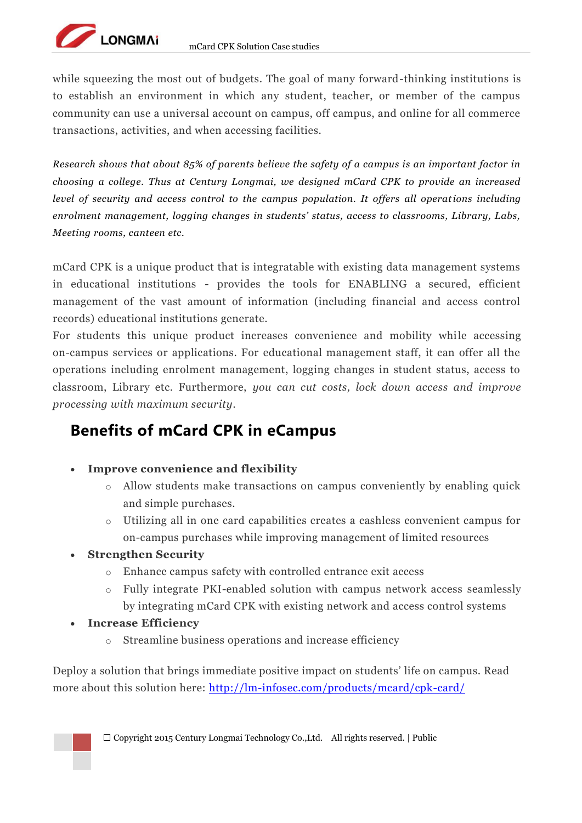while squeezing the most out of budgets. The goal of many forward-thinking institutions is to establish an environment in which any student, teacher, or member of the campus community can use a universal account on campus, off campus, and online for all commerce transactions, activities, and when accessing facilities.

*Research shows that about 85% of parents believe the safety of a campus is an important factor in choosing a college. Thus at Century Longmai, we designed mCard CPK to provide an increased level of security and access control to the campus population. It offers all operations including enrolment management, logging changes in students' status, access to classrooms, Library, Labs, Meeting rooms, canteen etc.*

mCard CPK is a unique product that is integratable with existing data management systems in educational institutions - provides the tools for ENABLING a secured, efficient management of the vast amount of information (including financial and access control records) educational institutions generate.

For students this unique product increases convenience and mobility while accessing on-campus services or applications. For educational management staff, it can offer all the operations including enrolment management, logging changes in student status, access to classroom, Library etc. Furthermore, *you can cut costs, lock down access and improve processing with maximum security.*

# **Benefits of mCard CPK in eCampus**

- **Improve convenience and flexibility**
	- o Allow students make transactions on campus conveniently by enabling quick and simple purchases.
	- o Utilizing all in one card capabilities creates a cashless convenient campus for on-campus purchases while improving management of limited resources
- **Strengthen Security**

LONGMAN

- o Enhance campus safety with controlled entrance exit access
- Fully integrate PKI-enabled solution with campus network access seamlessly by integrating mCard CPK with existing network and access control systems
- **Increase Efficiency**
	- o Streamline business operations and increase efficiency

Deploy a solution that brings immediate positive impact on students' life on campus. Read more about this solution here:<http://lm-infosec.com/products/mcard/cpk-card/>

 $\square$  Copyright 2015 Century Longmai Technology Co., Ltd. All rights reserved. | Public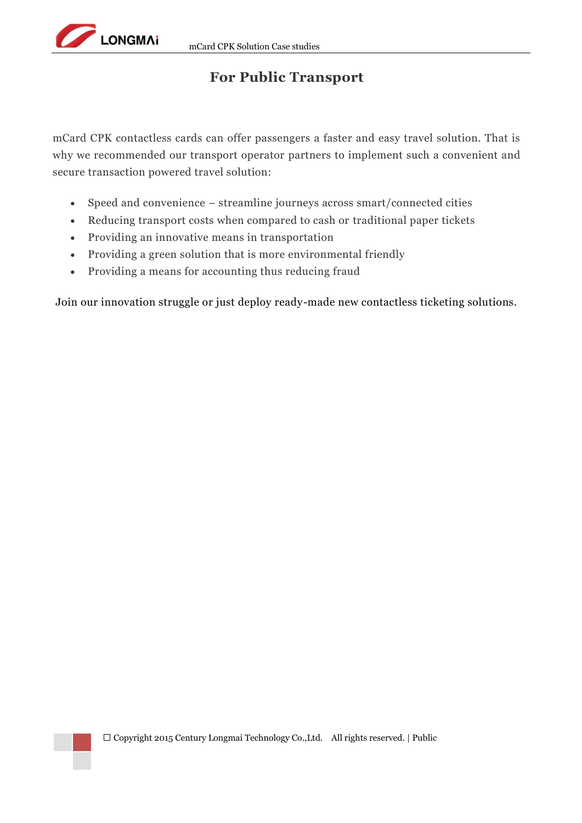## **For Public Transport**

<span id="page-8-0"></span>mCard CPK contactless cards can offer passengers a faster and easy travel solution. That is why we recommended our transport operator partners to implement such a convenient and secure transaction powered travel solution:

- Speed and convenience streamline journeys across smart/connected cities
- Reducing transport costs when compared to cash or traditional paper tickets
- Providing an innovative means in transportation
- Providing a green solution that is more environmental friendly
- Providing a means for accounting thus reducing fraud

Join our innovation struggle or just deploy ready-made new contactless ticketing solutions.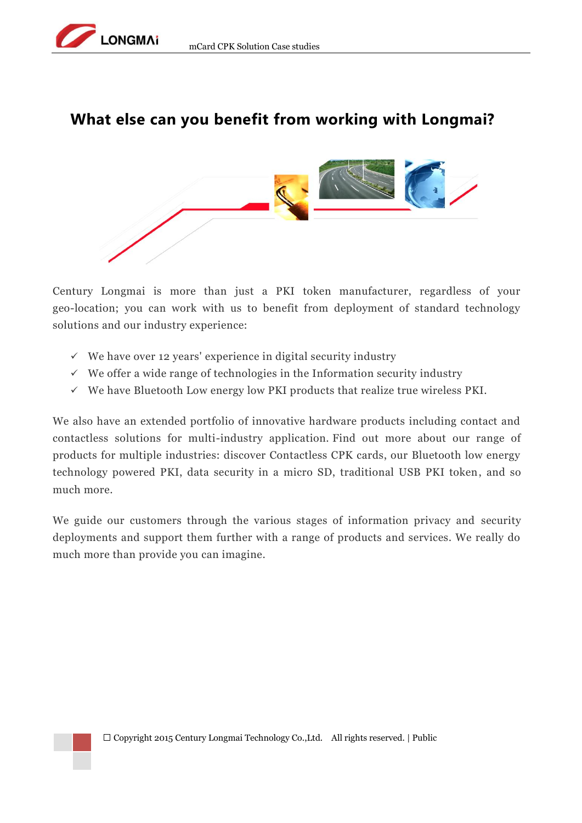

## **What else can you benefit from working with Longmai?**



Century Longmai is more than just a PKI token manufacturer, regardless of your geo-location; you can work with us to benefit from deployment of standard technology solutions and our industry experience:

- $\checkmark$  We have over 12 years' experience in digital security industry
- $\checkmark$  We offer a wide range of technologies in the Information security industry
- $\checkmark$  We have Bluetooth Low energy low PKI products that realize true wireless PKI.

We also have an extended portfolio of innovative hardware products including contact and contactless solutions for multi-industry application. Find out more about our range of products for multiple industries: discover Contactless CPK cards, our Bluetooth low energy technology powered PKI, data security in a micro SD, traditional USB PKI token, and so much more.

We guide our customers through the various stages of information privacy and security deployments and support them further with a range of products and services. We really do much more than provide you can imagine.